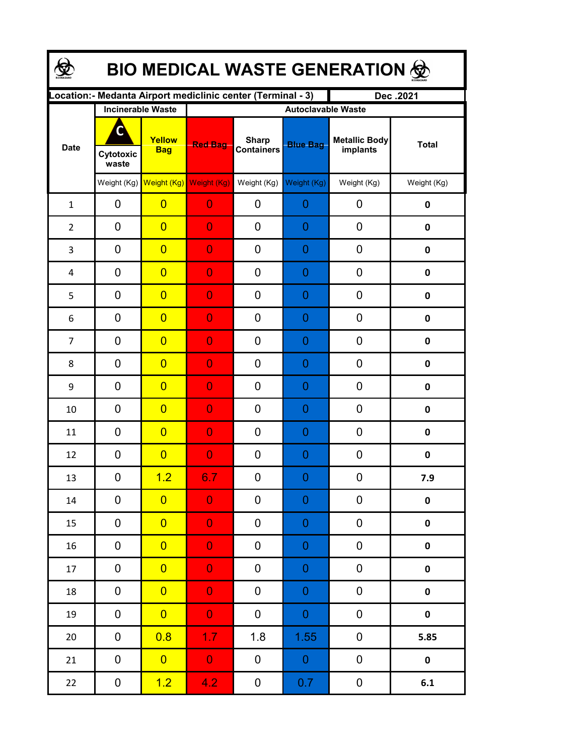| <b>BIO MEDICAL WASTE GENERATION 金</b> |                                                              |                         |                           |                                   |                  |                                  |                    |  |  |  |
|---------------------------------------|--------------------------------------------------------------|-------------------------|---------------------------|-----------------------------------|------------------|----------------------------------|--------------------|--|--|--|
|                                       | Location: - Medanta Airport mediclinic center (Terminal - 3) |                         | Dec.2021                  |                                   |                  |                                  |                    |  |  |  |
| <b>Date</b>                           | <b>Incinerable Waste</b>                                     |                         | <b>Autoclavable Waste</b> |                                   |                  |                                  |                    |  |  |  |
|                                       | C<br>Cytotoxic<br>waste                                      | Yellow<br><b>Bag</b>    | <b>Red Bag</b>            | <b>Sharp</b><br><b>Containers</b> | <b>Blue Bag</b>  | <b>Metallic Body</b><br>implants | <b>Total</b>       |  |  |  |
|                                       |                                                              | Weight (Kg) Weight (Kg) | Weight (Kg)               | Weight (Kg)                       | Weight (Kg)      | Weight (Kg)                      | Weight (Kg)        |  |  |  |
| $\mathbf{1}$                          | 0                                                            | $\overline{0}$          | $\overline{0}$            | 0                                 | 0                | 0                                | 0                  |  |  |  |
| $\overline{2}$                        | 0                                                            | $\overline{0}$          | $\overline{0}$            | 0                                 | 0                | 0                                | 0                  |  |  |  |
| 3                                     | 0                                                            | $\overline{0}$          | $\overline{0}$            | 0                                 | 0                | 0                                | $\mathbf 0$        |  |  |  |
| 4                                     | 0                                                            | $\overline{0}$          | $\overline{0}$            | 0                                 | 0                | 0                                | $\mathbf 0$        |  |  |  |
| 5                                     | $\mathbf 0$                                                  | $\overline{0}$          | $\overline{0}$            | 0                                 | 0                | 0                                | $\mathbf 0$        |  |  |  |
| 6                                     | 0                                                            | $\overline{0}$          | $\overline{0}$            | 0                                 | 0                | 0                                | $\mathbf 0$        |  |  |  |
| $\overline{7}$                        | 0                                                            | $\overline{0}$          | $\overline{0}$            | 0                                 | 0                | 0                                | $\mathbf 0$        |  |  |  |
| 8                                     | 0                                                            | $\overline{0}$          | 0                         | 0                                 | 0                | 0                                | 0                  |  |  |  |
| 9                                     | 0                                                            | $\overline{0}$          | 0                         | 0                                 | 0                | 0                                | 0                  |  |  |  |
| 10                                    | 0                                                            | $\overline{0}$          | 0                         | 0                                 | 0                | 0                                | 0                  |  |  |  |
| 11                                    | 0                                                            | $\overline{0}$          | 0                         | 0                                 | 0                | 0                                | 0                  |  |  |  |
| 12                                    | 0                                                            | $\overline{0}$          | $\overline{0}$            | 0                                 | 0                | 0                                | 0                  |  |  |  |
| 13                                    | 0                                                            | 1.2                     | 6.7                       | $\boldsymbol{0}$                  | $\Omega$         | $\boldsymbol{0}$                 | 7.9                |  |  |  |
| 14                                    | 0                                                            | $\overline{0}$          | $\overline{0}$            | 0                                 | $\boldsymbol{0}$ | 0                                | $\pmb{0}$          |  |  |  |
| 15                                    | 0                                                            | $\overline{0}$          | $\overline{0}$            | 0                                 | 0                | 0                                | $\pmb{0}$          |  |  |  |
| 16                                    | 0                                                            | $\overline{0}$          | $\overline{0}$            | 0                                 | 0                | 0                                | $\pmb{0}$          |  |  |  |
| 17                                    | 0                                                            | $\overline{0}$          | $\overline{0}$            | 0                                 | 0                | $\pmb{0}$                        | $\pmb{0}$          |  |  |  |
| 18                                    | $\boldsymbol{0}$                                             | $\overline{0}$          | $\overline{0}$            | $\pmb{0}$                         | 0                | $\pmb{0}$                        | $\pmb{0}$          |  |  |  |
| 19                                    | $\pmb{0}$                                                    | $\overline{0}$          | $\overline{0}$            | $\boldsymbol{0}$                  | $\boldsymbol{0}$ | 0                                | $\pmb{0}$          |  |  |  |
| $20\,$                                | $\pmb{0}$                                                    | 0.8                     | 1.7 <sub>z</sub>          | 1.8                               | 1.55             | 0                                | 5.85               |  |  |  |
| 21                                    | 0                                                            | $\overline{0}$          | $\mathbf{0}$              | $\boldsymbol{0}$                  | $\overline{0}$   | 0                                | $\mathbf 0$        |  |  |  |
| $22$                                  | $\boldsymbol{0}$                                             | 1.2                     | 4.2 <sub>1</sub>          | $\mathbf 0$                       | 0.7              | $\mathbf{0}$                     | $\boldsymbol{6.1}$ |  |  |  |